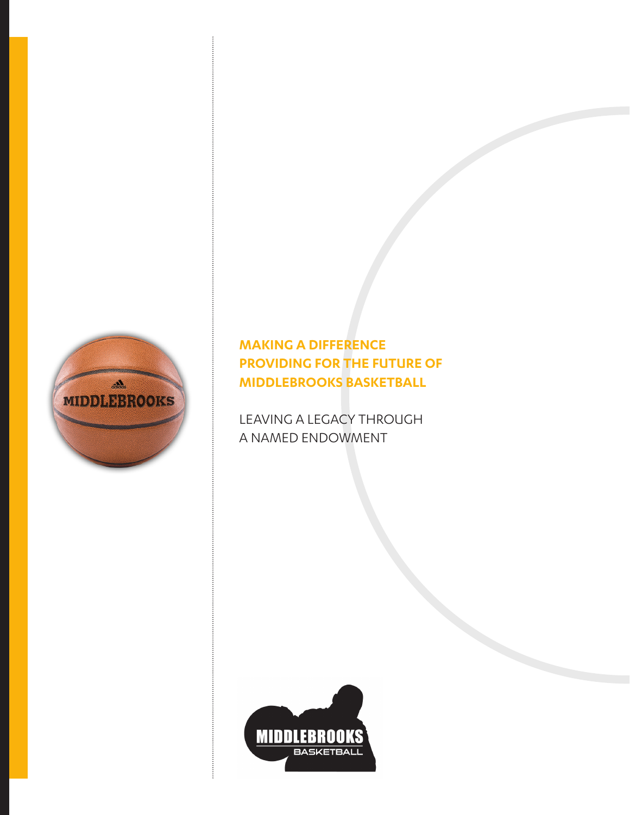

# **MAKING A DIFFERENCE PROVIDING FOR THE FUTURE OF MIDDLEBROOKS BASKETBALL**

LEAVING A LEGACY THROUGH A NAMED ENDOWMENT

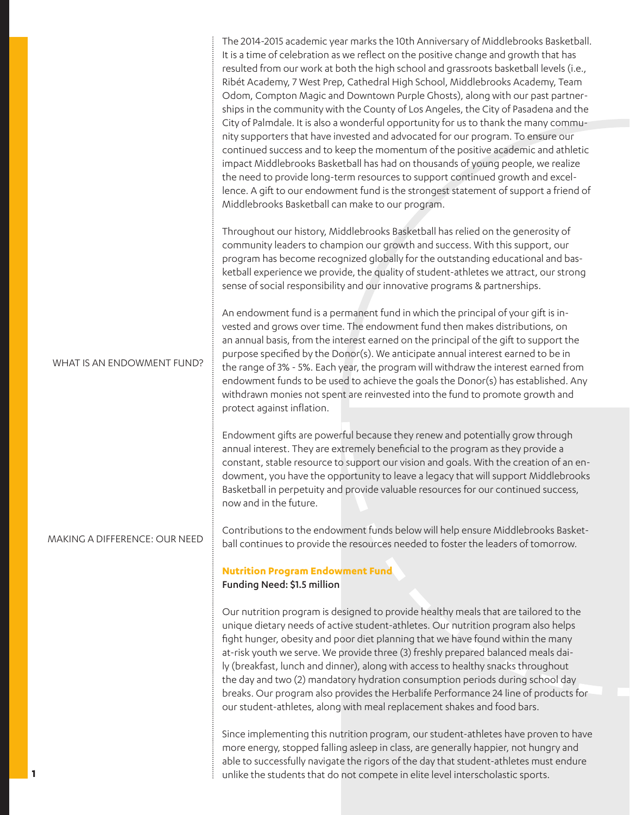The 2014-2015 academic year marks the 10th Anniversary of Middlebrooks Basketball. It is a time of celebration as we reflect on the positive change and growth that has resulted from our work at both the high school and grassroots basketball levels (i.e., Ribét Academy, 7 West Prep, Cathedral High School, Middlebrooks Academy, Team Odom, Compton Magic and Downtown Purple Ghosts), along with our past partnerships in the community with the County of Los Angeles, the City of Pasadena and the City of Palmdale. It is also a wonderful opportunity for us to thank the many community supporters that have invested and advocated for our program. To ensure our continued success and to keep the momentum of the positive academic and athletic impact Middlebrooks Basketball has had on thousands of young people, we realize the need to provide long-term resources to support continued growth and excellence. A gift to our endowment fund is the strongest statement of support a friend of Middlebrooks Basketball can make to our program.

Throughout our history, Middlebrooks Basketball has relied on the generosity of community leaders to champion our growth and success. With this support, our program has become recognized globally for the outstanding educational and basketball experience we provide, the quality of student-athletes we attract, our strong sense of social responsibility and our innovative programs & partnerships.

An endowment fund is a permanent fund in which the principal of your gift is invested and grows over time. The endowment fund then makes distributions, on an annual basis, from the interest earned on the principal of the gift to support the purpose specified by the Donor(s). We anticipate annual interest earned to be in the range of 3% - 5%. Each year, the program will withdraw the interest earned from endowment funds to be used to achieve the goals the Donor(s) has established. Any withdrawn monies not spent are reinvested into the fund to promote growth and protect against inflation.

Endowment gifts are powerful because they renew and potentially grow through annual interest. They are extremely beneficial to the program as they provide a constant, stable resource to support our vision and goals. With the creation of an endowment, you have the opportunity to leave a legacy that will support Middlebrooks Basketball in perpetuity and provide valuable resources for our continued success, now and in the future.

Contributions to the endowment funds below will help ensure Middlebrooks Basketball continues to provide the resources needed to foster the leaders of tomorrow.

## **Nutrition Program Endowment Fund**

## Funding Need: \$1.5 million

Our nutrition program is designed to provide healthy meals that are tailored to the unique dietary needs of active student-athletes. Our nutrition program also helps fight hunger, obesity and poor diet planning that we have found within the many at-risk youth we serve. We provide three (3) freshly prepared balanced meals daily (breakfast, lunch and dinner), along with access to healthy snacks throughout the day and two (2) mandatory hydration consumption periods during school day breaks. Our program also provides the Herbalife Performance 24 line of products for our student-athletes, along with meal replacement shakes and food bars.

Since implementing this nutrition program, our student-athletes have proven to have more energy, stopped falling asleep in class, are generally happier, not hungry and able to successfully navigate the rigors of the day that student-athletes must endure unlike the students that do not compete in elite level interscholastic sports.

## WHAT IS AN ENDOWMENT FUND?

#### MAKING A DIFFERENCE: OUR NEED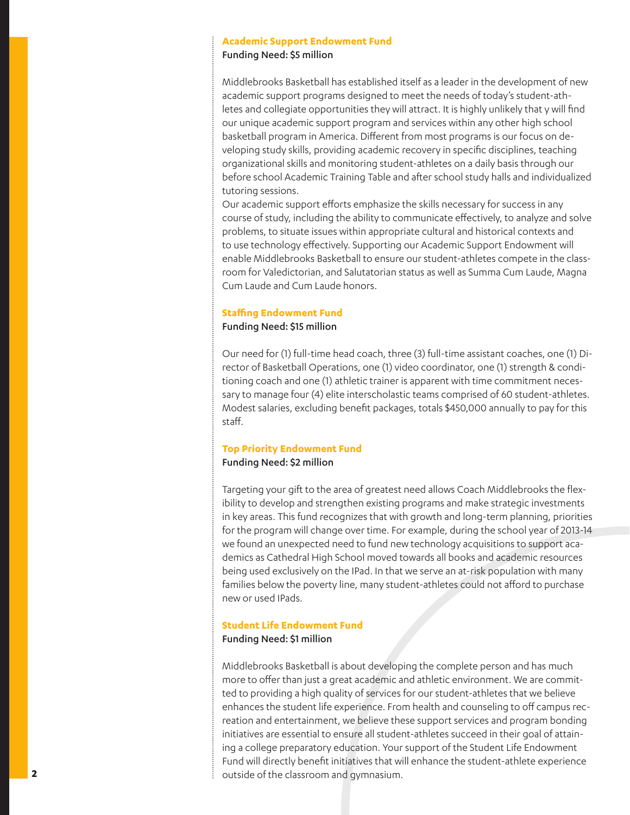#### **Academic Support Endowment Fund**

#### Funding Need: \$5 million

Middlebrooks Basketball has established itself as a leader in the development of new academic support programs designed to meet the needs of today's student-athletes and collegiate opportunities they will attract. It is highly unlikely that y will find our unique academic support program and services within any other high school basketball program in America. Different from most programs is our focus on developing study skills, providing academic recovery in specific disciplines, teaching organizational skills and monitoring student-athletes on a daily basis through our before school Academic Training Table and after school study halls and individualized tutoring sessions.

Our academic support efforts emphasize the skills necessary for success in any course of study, including the ability to communicate effectively, to analyze and solve problems, to situate issues within appropriate cultural and historical contexts and to use technology effectively. Supporting our Academic Support Endowment will enable Middlebrooks Basketball to ensure our student-athletes compete in the classroom for Valedictorian, and Salutatorian status as well as Summa Cum Laude, Magna Cum Laude and Cum Laude honors.

#### **Staffing Endowment Fund**

#### Funding Need: \$15 million

Our need for (1) full-time head coach, three (3) full-time assistant coaches, one (1) Director of Basketball Operations, one (1) video coordinator, one (1) strength & conditioning coach and one (1) athletic trainer is apparent with time commitment necessary to manage four (4) elite interscholastic teams comprised of 60 student-athletes. Modest salaries, excluding benefit packages, totals \$450,000 annually to pay for this staff.

#### **Top Priority Endowment Fund**

#### Funding Need: \$2 million

Targeting your gift to the area of greatest need allows Coach Middlebrooks the flexibility to develop and strengthen existing programs and make strategic investments in key areas. This fund recognizes that with growth and long-term planning, priorities for the program will change over time. For example, during the school year of 2013-14 we found an unexpected need to fund new technology acquisitions to support academics as Cathedral High School moved towards all books and academic resources being used exclusively on the IPad. In that we serve an at-risk population with many families below the poverty line, many student-athletes could not afford to purchase new or used IPads.

### **Student Life Endowment Fund** Funding Need: \$1 million

Middlebrooks Basketball is about developing the complete person and has much more to offer than just a great academic and athletic environment. We are committed to providing a high quality of services for our student-athletes that we believe enhances the student life experience. From health and counseling to off campus recreation and entertainment, we believe these support services and program bonding initiatives are essential to ensure all student-athletes succeed in their goal of attaining a college preparatory education. Your support of the Student Life Endowment Fund will directly benefit initiatives that will enhance the student-athlete experience **2 2 b 2 b 2 b 2 c 2 c 2 c 2 c 2 c 2 c 2 c 2 c 2 c 2 c 2 c 2 c 2 c 2 c 2 c 2 c 2 c 2 c 2 c 2 c 2 c 2 c 2 c 2 c 2**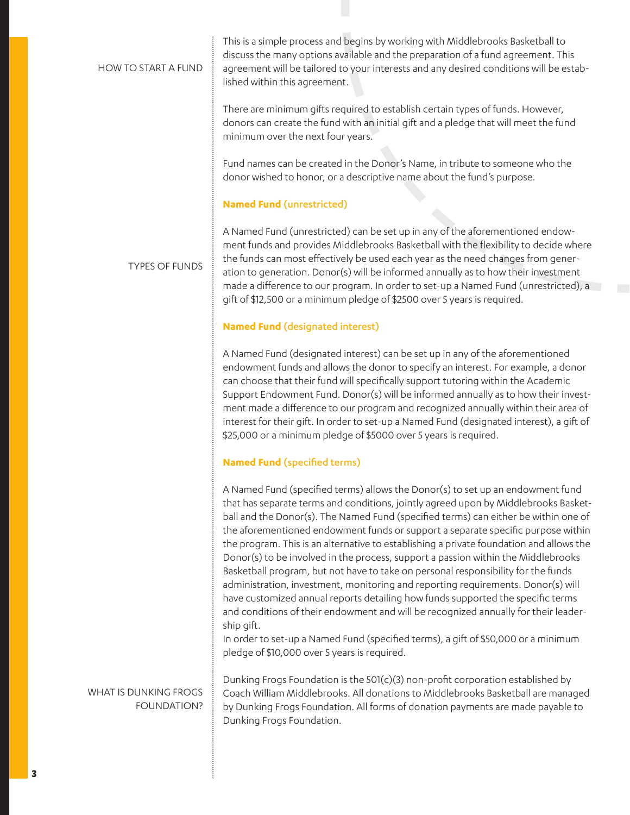## HOW TO START A FUND

This is a simple process and begins by working with Middlebrooks Basketball to discuss the many options available and the preparation of a fund agreement. This agreement will be tailored to your interests and any desired conditions will be established within this agreement.

There are minimum gifts required to establish certain types of funds. However, donors can create the fund with an initial gift and a pledge that will meet the fund minimum over the next four years.

Fund names can be created in the Donor's Name, in tribute to someone who the donor wished to honor, or a descriptive name about the fund's purpose.

## **Named Fund** (unrestricted)

## TYPES OF FUNDS

A Named Fund (unrestricted) can be set up in any of the aforementioned endowment funds and provides Middlebrooks Basketball with the flexibility to decide where the funds can most effectively be used each year as the need changes from generation to generation. Donor(s) will be informed annually as to how their investment made a difference to our program. In order to set-up a Named Fund (unrestricted), a gift of \$12,500 or a minimum pledge of \$2500 over 5 years is required.

## **Named Fund** (designated interest)

A Named Fund (designated interest) can be set up in any of the aforementioned endowment funds and allows the donor to specify an interest. For example, a donor can choose that their fund will specifically support tutoring within the Academic Support Endowment Fund. Donor(s) will be informed annually as to how their investment made a difference to our program and recognized annually within their area of interest for their gift. In order to set-up a Named Fund (designated interest), a gift of \$25,000 or a minimum pledge of \$5000 over 5 years is required.

## **Named Fund** (specified terms)

A Named Fund (specified terms) allows the Donor(s) to set up an endowment fund that has separate terms and conditions, jointly agreed upon by Middlebrooks Basketball and the Donor(s). The Named Fund (specified terms) can either be within one of the aforementioned endowment funds or support a separate specific purpose within the program. This is an alternative to establishing a private foundation and allows the Donor(s) to be involved in the process, support a passion within the Middlebrooks Basketball program, but not have to take on personal responsibility for the funds administration, investment, monitoring and reporting requirements. Donor(s) will have customized annual reports detailing how funds supported the specific terms and conditions of their endowment and will be recognized annually for their leadership gift.

In order to set-up a Named Fund (specified terms), a gift of \$50,000 or a minimum pledge of \$10,000 over 5 years is required.

Dunking Frogs Foundation is the 501(c)(3) non-profit corporation established by Coach William Middlebrooks. All donations to Middlebrooks Basketball are managed by Dunking Frogs Foundation. All forms of donation payments are made payable to Dunking Frogs Foundation.

WHAT IS DUNKING FROGS FOUNDATION?